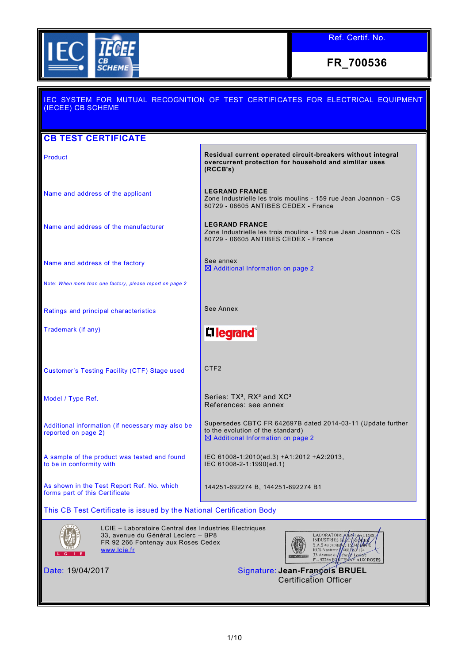

## IEC SYSTEM FOR MUTUAL RECOGNITION OF TEST CERTIFICATES FOR ELECTRICAL EQUIPMENT (IECEE) CB SCHEME **CB TEST CERTIFICATE Residual current operated circuit-breakers without integral Residual current operated circuit-breakers without integral overcurrent protection for household and simlilar uses (RCCB's)** Name and address of the applicant **LEGRAND FRANCE** Zone Industrielle les trois moulins - 159 rue Jean Joannon - CS 80729 - 06605 ANTIBES CEDEX - France Name and address of the manufacturer **LEGRAND FRANCE** Zone Industrielle les trois moulins - 159 rue Jean Joannon - CS 80729 - 06605 ANTIBES CEDEX - France See annex Name and address of the factory Additional Information on page 2 Note: *When more than one factory, please report on page 2* Ratings and principal characteristics **See Annex** Trademark (if any) L**i legrand** Customer's Testing Facility (CTF) Stage used CTF2 Model / Type Ref. Series: TX<sup>3</sup>, RX<sup>3</sup> and XC<sup>3</sup> References: see annex Supersedes CBTC FR 642697B dated 2014-03-11 (Update further Additional information (if necessary may also be to the evolution of the standard) reported on page 2)  $\boxtimes$  Additional Information on page 2 A sample of the product was tested and found IEC 61008-1:2010(ed.3) +A1:2012 +A2:2013, to be in conformity with IEC 61008-2-1:1990(ed.1) As shown in the Test Report Ref. No. which 144251-692274 B, 144251-692274 B1 forms part of this Certificate This CB Test Certificate is issued by the National Certification Body LCIE – Laboratoire Central des Industries Electriques 33, avenue du Général Leclerc – BP8 **LARORATOUR** INDUSTRIES I<br>S.A.S au capital FR 92 266 Fontenay aux Roses Cedex [www.lcie.fr](http://www.lcie.fr/) **RCS** Nanterre AUX ROSES Date: 19/04/2017 Signature: **Jean-François BRUEL** Certification Officer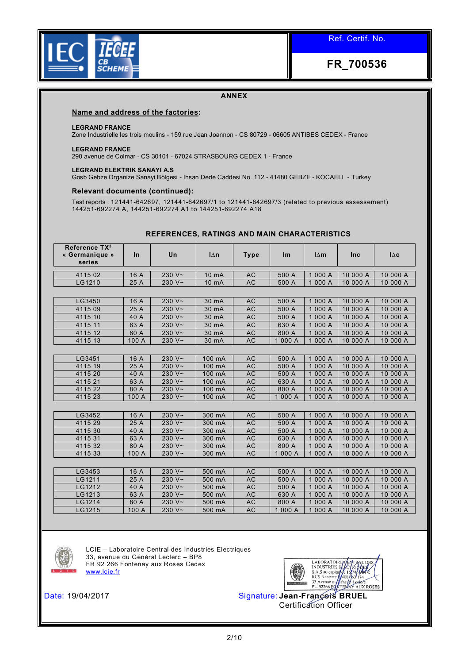

## **ANNEX**

#### **Name and address of the factories:**

#### **LEGRAND FRANCE**

Zone Industrielle les trois moulins - 159 rue Jean Joannon - CS 80729 - 06605 ANTIBES CEDEX - France

#### **LEGRAND FRANCE**

290 avenue de Colmar - CS 30101 - 67024 STRASBOURG CEDEX 1 - France

#### **LEGRAND ELEKTRIK SANAYI A.S**

Gosb Gebze Organize Sanayi Bölgesi - Ihsan Dede Caddesi No. 112 - 41480 GEBZE - KOCAELI - Turkey

#### **Relevant documents (continued):**

Test reports : 121441-642697, 121441-642697/1 to 121441-642697/3 (related to previous assessement) 144251-692274 A, 144251-692274 A1 to 144251-692274 A18

| Reference TX <sup>3</sup><br>« Germanique »<br>series | In    | Un             | $\ln$  | <b>Type</b> | Im      | $l\Delta m$ | Inc      | $\Delta c$ |
|-------------------------------------------------------|-------|----------------|--------|-------------|---------|-------------|----------|------------|
| 4115 02                                               | 16 A  | 230 $V \sim$   | 10 mA  | AC          | 500 A   | 1 000 A     | 10 000 A | 10 000 A   |
| LG1210                                                | 25 A  | 230 $V \sim$   | 10 mA  | <b>AC</b>   | 500 A   | 1 000 A     | 10 000 A | 10 000 A   |
|                                                       |       |                |        |             |         |             |          |            |
| LG3450                                                | 16 A  | 230 $V \sim$   | 30 mA  | AC          | 500 A   | 1 000 A     | 10 000 A | 10 000 A   |
| 4115 09                                               | 25 A  | 230 $V \sim$   | 30 mA  | <b>AC</b>   | 500 A   | 1 000 A     | 10 000 A | 10 000 A   |
| 4115 10                                               | 40 A  | 230 $V \sim$   | 30 mA  | AC          | 500 A   | 1 000 A     | 10 000 A | 10 000 A   |
| 4115 11                                               | 63 A  | 230 $\sqrt{2}$ | 30 mA  | AC          | 630 A   | 1 000 A     | 10 000 A | 10 000 A   |
| 4115 12                                               | 80 A  | 230 $V \sim$   | 30 mA  | AC          | 800 A   | 1 000 A     | 10 000 A | 10 000 A   |
| 4115 13                                               | 100 A | 230 $V \sim$   | 30 mA  | AC          | 1 000 A | 1 000 A     | 10 000 A | 10 000 A   |
|                                                       |       |                |        |             |         |             |          |            |
| LG3451                                                | 16 A  | 230 $V \sim$   | 100 mA | AC          | 500 A   | 1 000 A     | 10 000 A | 10 000 A   |
| 4115 19                                               | 25 A  | 230 $V \sim$   | 100 mA | AC          | 500 A   | 1 000 A     | 10 000 A | 10 000 A   |
| 4115 20                                               | 40 A  | 230 $V \sim$   | 100 mA | <b>AC</b>   | 500 A   | 1 000 A     | 10 000 A | 10 000 A   |
| 4115 21                                               | 63 A  | 230 $V \sim$   | 100 mA | AC          | 630 A   | 1 000 A     | 10 000 A | 10 000 A   |
| 4115 22                                               | 80 A  | $230 V -$      | 100 mA | AC          | 800 A   | 1 000 A     | 10 000 A | 10 000 A   |
| 4115 23                                               | 100 A | 230 $V \sim$   | 100 mA | AC          | 1 000 A | 1 000 A     | 10 000 A | 10 000 A   |
|                                                       |       |                |        |             |         |             |          |            |
| LG3452                                                | 16 A  | 230 $V \sim$   | 300 mA | AC          | 500 A   | 1 000 A     | 10 000 A | 10 000 A   |
| 4115 29                                               | 25 A  | 230 $V \sim$   | 300 mA | <b>AC</b>   | 500 A   | 1 000 A     | 10 000 A | 10 000 A   |
| 4115 30                                               | 40 A  | 230 $V \sim$   | 300 mA | <b>AC</b>   | 500 A   | 1 000 A     | 10 000 A | 10 000 A   |
| 4115 31                                               | 63 A  | 230 $V \sim$   | 300 mA | <b>AC</b>   | 630 A   | 1 000 A     | 10 000 A | 10 000 A   |
| 4115 32                                               | 80 A  | 230 $V \sim$   | 300 mA | AC          | 800 A   | 1 000 A     | 10 000 A | 10 000 A   |
| 4115 33                                               | 100 A | 230 $V \sim$   | 300 mA | <b>AC</b>   | 1 000 A | 1 000 A     | 10 000 A | 10 000 A   |
|                                                       |       |                |        |             |         |             |          |            |
| LG3453                                                | 16 A  | 230 $V -$      | 500 mA | <b>AC</b>   | 500 A   | 1 000 A     | 10 000 A | 10 000 A   |
| LG1211                                                | 25 A  | 230 $\sqrt{2}$ | 500 mA | AC          | 500 A   | 1 000 A     | 10 000 A | 10 000 A   |
| LG1212                                                | 40 A  | 230 $V \sim$   | 500 mA | AC          | 500 A   | 1 000 A     | 10 000 A | 10 000 A   |
| LG1213                                                | 63 A  | 230 $V \sim$   | 500 mA | AC          | 630 A   | 1 000 A     | 10 000 A | 10 000 A   |
| LG1214                                                | 80 A  | 230 $V \sim$   | 500 mA | AC          | 800 A   | 1 000 A     | 10 000 A | 10 000 A   |
| LG1215                                                | 100 A | 230 $V \sim$   | 500 mA | <b>AC</b>   | 1 000 A | 1 000 A     | 10 000 A | 10 000 A   |

## **REFERENCES, RATINGS AND MAIN CHARACTERISTICS**



LCIE – Laboratoire Central des Industries Electriques 33, avenue du Général Leclerc – BP8 FR 92 266 Fontenay aux Roses Cedex [www.lcie.fr](http://www.lcie.fr/)

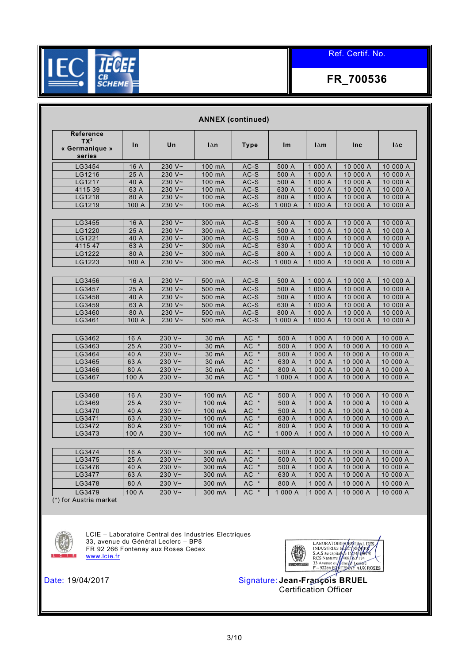

**FR\_700536**

| Reference<br>$TX^3$<br>« Germanique »<br>series | In            | Un                           | $\mathsf{I}\Delta\mathsf{n}$ | <b>Type</b>          | Im               | $\mathsf{I}\Delta\mathsf{m}$ | Inc                  | $\mathsf{I}\Delta\mathbf{c}$ |
|-------------------------------------------------|---------------|------------------------------|------------------------------|----------------------|------------------|------------------------------|----------------------|------------------------------|
| LG3454                                          | 16 A          | 230 V~                       | 100 mA                       | $AC-S$               | 500 A            | 1 000 A                      | 10 000 A             | 10 000 A                     |
| LG1216                                          | 25 A          | 230 $V \sim$                 | 100 mA                       | AC-S                 | 500 A            | 1 000 A                      | 10 000 A             | 10 000 A                     |
| LG1217                                          | 40 A          | 230 V~                       | 100 mA                       | $AC-S$               | 500 A            | 1 000 A                      | 10 000 A             | 10 000 A                     |
| 4115 39                                         | 63 A          | 230 $V$ ~                    | 100 mA                       | $AC-S$               | 630 A            | 1 000 A                      | 10 000 A             | 10 000 A                     |
| LG1218                                          | 80 A          | 230 $V \sim$                 | 100 mA                       | $AC-S$               | 800 A            | 1 000 A                      | 10 000 A             | 10 000 A                     |
| LG1219                                          | 100 A         | 230 $V~$                     | 100 mA                       | $AC-S$               | 1 000 A          | 1 000 A                      | 10 000 A             | 10 000 A                     |
| LG3455                                          | 16 A          | 230 V~                       | 300 mA                       | $AC-S$               | 500 A            | 1 000 A                      | 10 000 A             | 10 000 A                     |
| LG1220                                          | 25 A          | 230 V~                       | 300 mA                       | $AC-S$               | 500 A            | 1 000 A                      | 10 000 A             | 10 000 A                     |
| LG1221                                          | 40 A          | 230 $V \sim$                 | 300 mA                       | $AC-S$               | 500 A            | 1 000 A                      | 10 000 A             | 10 000 A                     |
| 4115 47                                         | 63 A          | 230 $V \sim$                 | 300 mA                       | $AC-S$               | 630 A            | 1 000 A                      | 10 000 A             | 10 000 A                     |
| LG1222                                          | 80 A          | 230 V~                       | 300 mA                       | AC-S                 | 800 A            | 1 000 A                      | 10 000 A             | 10 000 A                     |
| LG1223                                          | 100 A         | 230 $V~$                     | 300 mA                       | $AC-S$               | 1 000 A          | 1 000 A                      | 10 000 A             | 10 000 A                     |
| LG3456                                          | 16 A          | 230 $V \sim$                 | 500 mA                       | $AC-S$               | 500 A            | 1 000 A                      | 10 000 A             | 10 000 A                     |
| LG3457                                          | 25 A          | 230 $V \sim$                 | 500 mA                       | $AC-S$               | 500 A            | 1 000 A                      | 10 000 A             | 10 000 A                     |
| LG3458                                          | 40A           | 230 V~                       | $500$ mA                     | $AC-S$               | 500 A            | 1000A                        | 10 000 A             | 10 000 A                     |
| LG3459                                          | 63 A          | 230 $V \sim$                 | 500 mA                       | $AC-S$               | 630 A            | 1 000 A                      | 10 000 A             | 10 000 A                     |
| LG3460                                          | 80 A          | 230 $V \sim$                 | 500 mA                       | AC-S                 | 800 A            | 1 000 A                      | 10 000 A             | 10 000 A                     |
| LG3461                                          | 100 A         | 230 $V \sim$                 | 500 mA                       | $AC-S$               | 1 000 A          | 1 000 A                      | 10 000 A             | 10 000 A                     |
| LG3462                                          | 16 A          | 230 V~                       | 30 mA                        | $AC *$               | 500 A            | 1 000 A                      | 10 000 A             | 10 000 A                     |
| LG3463                                          | 25 A          | 230 $V \sim$                 | 30 mA                        | $AC *$               | 500 A            | 1 000 A                      | 10 000 A             | 10 000 A                     |
| LG3464                                          | 40 A          | 230 $V \sim$                 | 30 mA                        | $AC$ *               | 500 A            | 1 000 A                      | 10 000 A             | 10 000 A                     |
| LG3465                                          | 63 A          | 230 V~                       | 30 mA                        | $AC$ *               | 630 A            | 1 000 A                      | 10 000 A             | 10 000 A                     |
| LG3466                                          | 80 A          | 230 $V \sim$                 | 30 mA                        | AC<br>$\pmb{\star}$  | 800 A            | 1 000 A                      | 10 000 A             | 10 000 A                     |
| LG3467                                          | 100 A         | 230 $V \sim$                 | 30 mA                        | $AC *$               | 1 000 A          | 1 000 A                      | 10 000 A             | 10 000 A                     |
|                                                 |               |                              |                              |                      |                  |                              |                      |                              |
| LG3468                                          | 16 A          | 230 V~                       | 100 mA                       | <b>AC</b><br>$\star$ | 500 A            | 1 000 A                      | 10 000 A             | 10 000 A                     |
| LG3469                                          | 25 A          | 230 $V \sim$                 | 100 mA                       | <b>AC</b>            | 500 A            | 1 000 A                      | 10 000 A             | 10 000 A                     |
| LG3470                                          | 40 A          | 230 V~                       | 100 mA                       | $AC$ *               | 500 A            | 1 000 A                      | 10 000 A             | 10 000 A                     |
| LG3471                                          | 63 A          | 230 $V$ ~<br>230 V~          | 100 mA                       | $AC$ *               | 630 A            | 1 000 A                      | 10 000 A             | 10 000 A                     |
| LG3472<br>LG3473                                | 80 A<br>100 A | 230 $V \sim$                 | 100 mA<br>100 mA             | $AC$ *<br>$AC$ *     | 800 A<br>1 000 A | 1 000 A<br>1 000 A           | 10 000 A<br>10 000 A | 10 000 A<br>10 000 A         |
|                                                 |               |                              |                              |                      |                  |                              |                      |                              |
| LG3474                                          | 16 A          | 230 V~                       | 300 mA                       | $AC$ *               | 500 A            | 1 000 A                      | 10 000 A             | 10 000 A                     |
| LG3475                                          | 25 A          | 230 $V \sim$                 | 300 mA                       | $AC *$               | 500 A            | 1 000 A                      | 10 000 A             | 10 000 A                     |
| LG3476                                          | 40 A          | 230 V~                       | 300 mA                       | <b>AC</b><br>$\star$ | 500 A            | 1 000 A                      | 10 000 A             | 10 000 A                     |
| LG3477                                          | 63 A          | 230 V~                       | 300 mA                       | AC<br>$\star$        | 630 A            | 1 000 A                      | 10 000 A             | 10 000 A                     |
| LG3478<br>LG3479                                | 80 A          | 230 $V \sim$<br>230 $V \sim$ | 300 mA<br>300 mA             | AC *<br>AC *         | 800 A            | 1 000 A<br>1 000 A           | 10 000 A<br>10 000 A | 10 000 A                     |

LCIE – Laboratoire Central des Industries Electriques 33, avenue du Général Leclerc – BP8 FR 92 266 Fontenay aux Roses Cedex [www.lcie.fr](http://www.lcie.fr/)

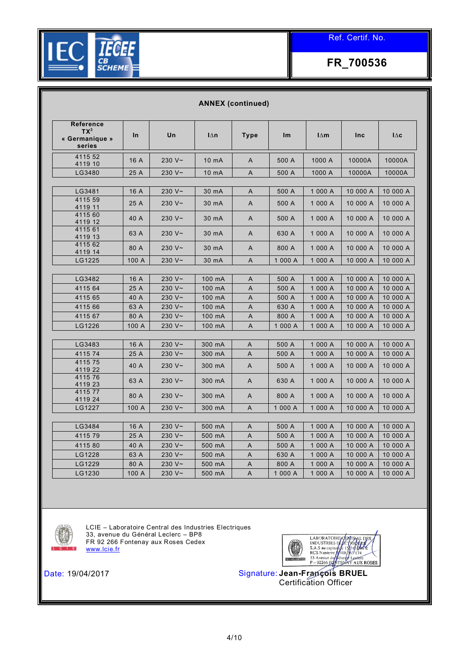

| Reference<br>$TX^3$<br>« Germanique »<br>series<br>4115 52<br>4119 10 | In<br>16 A    | Un                           | $\mathsf{I}\Delta\mathsf{n}$ |                |                  |                              |                      |                      |
|-----------------------------------------------------------------------|---------------|------------------------------|------------------------------|----------------|------------------|------------------------------|----------------------|----------------------|
|                                                                       |               |                              |                              | <b>Type</b>    | Im               | $\mathsf{I}\Delta\mathsf{m}$ | <b>Inc</b>           | $\Delta c$           |
|                                                                       |               | 230 $V \sim$                 | 10 mA                        | $\overline{A}$ | 500 A            | 1000 A                       | 10000A               | 10000A               |
| LG3480                                                                | 25 A          | 230 $V \sim$                 | 10 mA                        | Α              | 500 A            | 1000 A                       | 10000A               | 10000A               |
| LG3481                                                                | 16 A          | 230 $V \sim$                 | 30 mA                        | A              | 500 A            | 1 000 A                      | 10 000 A             | 10 000 A             |
| 4115 59<br>4119 11                                                    | 25 A          | 230 $V \sim$                 | 30 mA                        | A              | 500 A            | 1 000 A                      | 10 000 A             | 10 000 A             |
| 4115 60<br>4119 12                                                    | 40 A          | 230 $V \sim$                 | 30 mA                        | A              | 500 A            | 1 000 A                      | 10 000 A             | 10 000 A             |
| 4115 61<br>4119 13                                                    | 63 A          | 230 $V \sim$                 | 30 mA                        | A              | 630 A            | 1 000 A                      | 10 000 A             | 10 000 A             |
| 4115 62<br>4119 14                                                    | 80 A          | 230 $V \sim$                 | 30 mA                        | A              | 800 A            | 1 000 A                      | 10 000 A             | 10 000 A             |
| LG1225                                                                | 100 A         | 230 V~                       | 30 mA                        | A              | 1 000 A          | 1 000 A                      | 10 000 A             | 10 000 A             |
|                                                                       |               |                              |                              |                |                  |                              |                      |                      |
| LG3482<br>4115 64                                                     | 16 A<br>25 A  | 230 $V \sim$<br>230 $V \sim$ | 100 mA<br>100 mA             | A              | 500 A<br>500 A   | 1 000 A<br>1 000 A           | 10 000 A<br>10 000 A | 10 000 A<br>10 000 A |
| 4115 65                                                               | 40 A          | 230 $V \sim$                 | 100 mA                       | Α              | 500 A            | 1 000 A                      | 10 000 A             | 10 000 A             |
|                                                                       |               | 230 V~                       |                              | A              |                  |                              |                      |                      |
| 4115 66                                                               | 63 A          |                              | 100 mA                       | A              | 630 A            | 1 000 A                      | 10 000 A             | 10 000 A             |
| 4115 67                                                               | 80 A          | 230 $V \sim$                 | 100 mA                       | A              | 800 A            | 1 000 A                      | 10 000 A             | 10 000 A             |
| LG1226                                                                | 100 A         | 230 V~                       | 100 mA                       | A              | 1 000 A          | 1 000 A                      | 10 000 A             | 10 000 A             |
| LG3483                                                                | 16 A          | 230 $V \sim$                 | 300 mA                       | A              | 500 A            | 1 000 A                      | 10 000 A             | 10 000 A             |
| 4115 74                                                               | 25 A          | 230 $V \sim$                 | 300 mA                       | A              | 500 A            | 1 000 A                      | 10 000 A             | 10 000 A             |
| 4115 75<br>4119 22                                                    | 40 A          | 230 $V \sim$                 | 300 mA                       | A              | 500 A            | 1 000 A                      | 10 000 A             | 10 000 A             |
| 4115 76<br>4119 23                                                    | 63 A          | 230 $V \sim$                 | 300 mA                       | A              | 630 A            | 1 000 A                      | 10 000 A             | 10 000 A             |
| 411577<br>4119 24                                                     | 80 A          | 230 $V \sim$                 | 300 mA                       | A              | 800 A            | 1 000 A                      | 10 000 A             | 10 000 A             |
| LG1227                                                                | 100 A         | 230 $V \sim$                 | 300 mA                       | A              | 1 000 A          | 1 000 A                      | 10 000 A             | 10 000 A             |
|                                                                       |               |                              |                              |                |                  |                              |                      |                      |
| LG3484                                                                | 16 A          | 230 $V \sim$                 | 500 mA                       | A              | 500 A            | 1 000 A                      | 10 000 A             | 10 000 A             |
| 4115 79                                                               | 25 A          | 230 V~                       | 500 mA                       | A              | 500 A            | 1 000 A                      | 10 000 A             | 10 000 A             |
| 4115 80                                                               | 40 A          | 230 $V \sim$                 | 500 mA                       | A              | 500 A            | 1 000 A                      | 10 000 A             | 10 000 A             |
| LG1228                                                                | 63 A          | 230 $V \sim$                 | 500 mA                       | A              | 630 A            | 1 000 A                      | 10 000 A             | 10 000 A             |
| LG1229<br>LG1230                                                      | 80 A<br>100 A | 230 V~<br>230 V~             | 500 mA<br>500 mA             | Α<br>A         | 800 A<br>1 000 A | 1 000 A<br>1 000 A           | 10 000 A<br>10 000 A | 10 000 A<br>10 000 A |



LCIE – Laboratoire Central des Industries Electriques 33, avenue du Général Leclerc – BP8 FR 92 266 Fontenay aux Roses Cedex [www.lcie.fr](http://www.lcie.fr/)

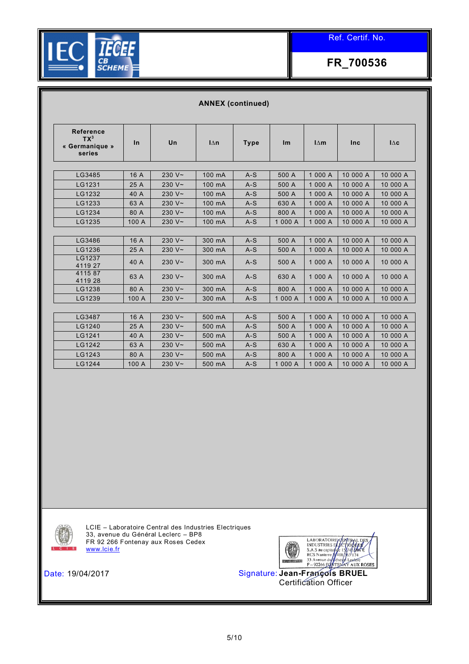

|                                                 | <b>ANNEX (continued)</b> |              |                              |             |         |                              |            |            |  |  |  |
|-------------------------------------------------|--------------------------|--------------|------------------------------|-------------|---------|------------------------------|------------|------------|--|--|--|
| Reference<br>$TX^3$<br>« Germanique »<br>series | In                       | Un           | $\mathsf{I}\Delta\mathsf{n}$ | <b>Type</b> | Im      | $\mathsf{I}\Delta\mathsf{m}$ | <b>Inc</b> | $\Delta c$ |  |  |  |
|                                                 |                          |              |                              |             |         |                              |            |            |  |  |  |
| LG3485                                          | 16 A                     | 230 $V \sim$ | 100 mA                       | $A-S$       | 500 A   | 1 000 A                      | 10 000 A   | 10 000 A   |  |  |  |
| LG1231                                          | 25 A                     | 230 $V \sim$ | 100 mA                       | $A-S$       | 500 A   | 1 000 A                      | 10 000 A   | 10 000 A   |  |  |  |
| LG1232                                          | 40 A                     | 230 $V \sim$ | 100 mA                       | $A-S$       | 500 A   | 1 000 A                      | 10 000 A   | 10 000 A   |  |  |  |
| LG1233                                          | 63 A                     | 230 $V \sim$ | 100 mA                       | $A-S$       | 630 A   | 1 000 A                      | 10 000 A   | 10 000 A   |  |  |  |
| LG1234                                          | 80 A                     | 230 $V \sim$ | 100 mA                       | $A-S$       | 800 A   | 1 000 A                      | 10 000 A   | 10 000 A   |  |  |  |
| LG1235                                          | 100 A                    | 230 $V \sim$ | 100 mA                       | $A-S$       | 1 000 A | 1 000 A                      | 10 000 A   | 10 000 A   |  |  |  |
|                                                 |                          |              |                              |             |         |                              |            |            |  |  |  |
| LG3486                                          | 16 A                     | 230 $V \sim$ | 300 mA                       | $A-S$       | 500 A   | 1 000 A                      | 10 000 A   | 10 000 A   |  |  |  |
| LG1236                                          | 25 A                     | 230 $V \sim$ | 300 mA                       | $A-S$       | 500 A   | 1 000 A                      | 10 000 A   | 10 000 A   |  |  |  |
| LG1237<br>4119 27                               | 40 A                     | 230 $V \sim$ | 300 mA                       | $A-S$       | 500 A   | 1 000 A                      | 10 000 A   | 10 000 A   |  |  |  |
| 411587<br>4119 28                               | 63 A                     | 230 $V \sim$ | 300 mA                       | $A-S$       | 630 A   | 1 000 A                      | 10 000 A   | 10 000 A   |  |  |  |
| LG1238                                          | 80 A                     | 230 $V \sim$ | 300 mA                       | $A-S$       | 800 A   | 1 000 A                      | 10 000 A   | 10 000 A   |  |  |  |
| LG1239                                          | 100 A                    | 230 $V \sim$ | 300 mA                       | $A-S$       | 1 000 A | 1 000 A                      | 10 000 A   | 10 000 A   |  |  |  |
|                                                 |                          |              |                              |             |         |                              |            |            |  |  |  |
| LG3487                                          | 16 A                     | 230 $V \sim$ | 500 mA                       | $A-S$       | 500 A   | 1 000 A                      | 10 000 A   | 10 000 A   |  |  |  |
| LG1240                                          | 25 A                     | 230 $V \sim$ | 500 mA                       | $A-S$       | 500 A   | 1 000 A                      | 10 000 A   | 10 000 A   |  |  |  |
| LG1241                                          | 40 A                     | 230 $V \sim$ | 500 mA                       | $A-S$       | 500 A   | 1 000 A                      | 10 000 A   | 10 000 A   |  |  |  |
| LG1242                                          | 63 A                     | 230 $V \sim$ | 500 mA                       | $A-S$       | 630 A   | 1 000 A                      | 10 000 A   | 10 000 A   |  |  |  |
| LG1243                                          | 80 A                     | 230 $V \sim$ | 500 mA                       | $A-S$       | 800 A   | 1 000 A                      | 10 000 A   | 10 000 A   |  |  |  |
| LG1244                                          | 100 A                    | 230 $V \sim$ | 500 mA                       | $A-S$       | 1 000 A | 1 000 A                      | 10 000 A   | 10 000 A   |  |  |  |

LCIE – Laboratoire Central des Industries Electriques 33, avenue du Général Leclerc – BP8 FR 92 266 Fontenay aux Roses Cedex [www.lcie.fr](http://www.lcie.fr/)

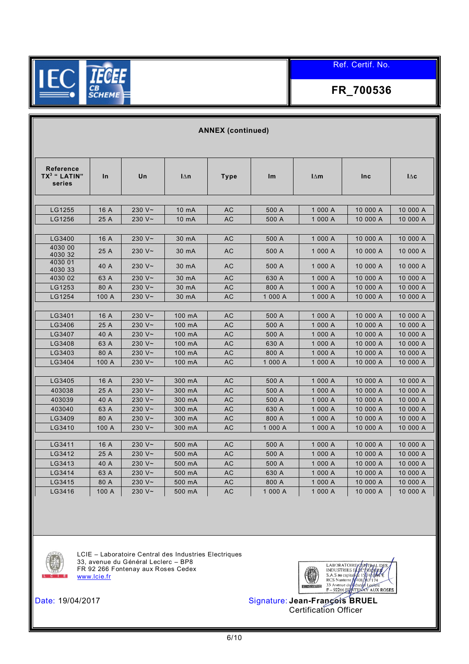

# **FR\_700536**

|                                                        |       |              |                              | <b>ANNEX (continued)</b> |         |                              |          |                              |
|--------------------------------------------------------|-------|--------------|------------------------------|--------------------------|---------|------------------------------|----------|------------------------------|
|                                                        |       |              |                              |                          |         |                              |          |                              |
| <b>Reference</b><br>TX <sup>3</sup> " LATIN"<br>series | In    | Un           | $\mathsf{I}\Delta\mathsf{n}$ | <b>Type</b>              | Im      | $\mathsf{I}\Delta\mathsf{m}$ | Inc      | $\mathsf{I}\Delta\mathbf{c}$ |
|                                                        |       |              |                              |                          |         |                              |          |                              |
| LG1255                                                 | 16 A  | 230 $V \sim$ | 10 mA                        | AC                       | 500 A   | 1 000 A                      | 10 000 A | 10 000 A                     |
| LG1256                                                 | 25 A  | 230 $V \sim$ | 10 mA                        | AC                       | 500 A   | 1 000 A                      | 10 000 A | 10 000 A                     |
|                                                        |       |              |                              |                          |         |                              |          |                              |
| LG3400                                                 | 16 A  | 230 $V \sim$ | 30 mA                        | AC                       | 500 A   | 1 000 A                      | 10 000 A | 10 000 A                     |
| 4030 00<br>4030 32                                     | 25 A  | 230 $V \sim$ | 30 mA                        | AC                       | 500 A   | 1 000 A                      | 10 000 A | 10 000 A                     |
| 4030 01<br>4030 33                                     | 40 A  | 230 $V \sim$ | 30 mA                        | AC                       | 500 A   | 1 000 A                      | 10 000 A | 10 000 A                     |
| 4030 02                                                | 63 A  | 230 $V \sim$ | 30 mA                        | AC                       | 630 A   | 1 000 A                      | 10 000 A | 10 000 A                     |
| LG1253                                                 | 80 A  | 230 V~       | 30 mA                        | AC                       | 800 A   | 1 000 A                      | 10 000 A | 10 000 A                     |
| LG1254                                                 | 100 A | 230 V~       | 30 mA                        | AC                       | 1 000 A | 1 000 A                      | 10 000 A | 10 000 A                     |
|                                                        |       |              |                              |                          |         |                              |          |                              |
| LG3401                                                 | 16 A  | 230 $V \sim$ | 100 mA                       | AC                       | 500 A   | 1 000 A                      | 10 000 A | 10 000 A                     |
| LG3406                                                 | 25 A  | 230 $V \sim$ | 100 mA                       | AC                       | 500 A   | 1 000 A                      | 10 000 A | 10 000 A                     |
| LG3407                                                 | 40 A  | 230 $V \sim$ | 100 mA                       | AC                       | 500 A   | 1 000 A                      | 10 000 A | 10 000 A                     |
| LG3408                                                 | 63 A  | 230 $V \sim$ | 100 mA                       | AC                       | 630 A   | 1 000 A                      | 10 000 A | 10 000 A                     |
| LG3403                                                 | 80 A  | 230 $V \sim$ | 100 mA                       | AC                       | 800 A   | 1 000 A                      | 10 000 A | 10 000 A                     |
| LG3404                                                 | 100 A | 230 $V \sim$ | 100 mA                       | AC                       | 1 000 A | 1 000 A                      | 10 000 A | 10 000 A                     |
|                                                        |       |              |                              |                          |         |                              |          |                              |
| LG3405                                                 | 16 A  | 230 $V \sim$ | 300 mA                       | AC                       | 500 A   | 1 000 A                      | 10 000 A | 10 000 A                     |
| 403038                                                 | 25 A  | 230 $V \sim$ | 300 mA                       | AC                       | 500 A   | 1 000 A                      | 10 000 A | 10 000 A                     |
| 403039                                                 | 40 A  | 230 $V \sim$ | 300 mA                       | AC                       | 500 A   | 1 000 A                      | 10 000 A | 10 000 A                     |
| 403040                                                 | 63 A  | 230 $V \sim$ | 300 mA                       | AC                       | 630 A   | 1 000 A                      | 10 000 A | 10 000 A                     |
| LG3409                                                 | 80 A  | 230 V~       | 300 mA                       | AC                       | 800 A   | 1 000 A                      | 10 000 A | 10 000 A                     |
| LG3410                                                 | 100 A | 230 $V \sim$ | 300 mA                       | AC                       | 1 000 A | 1 000 A                      | 10 000 A | 10 000 A                     |
|                                                        |       |              |                              |                          |         |                              |          |                              |
| LG3411                                                 | 16 A  | 230 $V \sim$ | 500 mA                       | AC                       | 500 A   | 1 000 A                      | 10 000 A | 10 000 A                     |
| LG3412                                                 | 25 A  | 230 $V \sim$ | 500 mA                       | AC                       | 500 A   | 1 000 A                      | 10 000 A | 10 000 A                     |
| LG3413                                                 | 40 A  | 230 $V \sim$ | 500 mA                       | AC                       | 500 A   | 1 000 A                      | 10 000 A | 10 000 A                     |
| LG3414                                                 | 63 A  | 230 $V \sim$ | 500 mA                       | AC                       | 630 A   | 1 000 A                      | 10 000 A | 10 000 A                     |
| LG3415                                                 | 80 A  | 230 $V \sim$ | 500 mA                       | AC                       | 800 A   | 1 000 A                      | 10 000 A | 10 000 A                     |
| LG3416                                                 | 100 A | 230 $V \sim$ | 500 mA                       | AC                       | 1 000 A | 1 000 A                      | 10 000 A | 10 000 A                     |



LCIE – Laboratoire Central des Industries Electriques 33, avenue du Général Leclerc – BP8 FR 92 266 Fontenay aux Roses Cedex [www.lcie.fr](http://www.lcie.fr/)

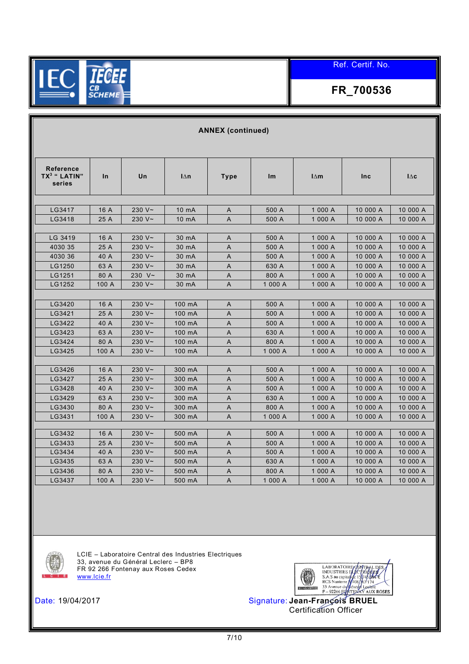

# **FR\_700536**

|                                                        |       |              |                              | <b>ANNEX (continued)</b> |         |                              |            |            |
|--------------------------------------------------------|-------|--------------|------------------------------|--------------------------|---------|------------------------------|------------|------------|
|                                                        |       |              |                              |                          |         |                              |            |            |
| <b>Reference</b><br>TX <sup>3</sup> " LATIN"<br>series | In    | Un           | $\mathsf{I}\Delta\mathsf{n}$ | <b>Type</b>              | Im      | $\mathsf{I}\Delta\mathsf{m}$ | <b>Inc</b> | $\Delta c$ |
|                                                        |       |              |                              |                          |         |                              |            |            |
| LG3417                                                 | 16 A  | 230 $V \sim$ | 10 mA                        | A                        | 500 A   | 1 000 A                      | 10 000 A   | 10 000 A   |
| LG3418                                                 | 25 A  | 230 V~       | 10 mA                        | A                        | 500 A   | 1 000 A                      | 10 000 A   | 10 000 A   |
| LG 3419                                                | 16 A  | 230 $V \sim$ | 30 mA                        | A                        | 500 A   | 1 000 A                      | 10 000 A   | 10 000 A   |
| 4030 35                                                | 25 A  | 230 $V \sim$ | 30 mA                        | A                        | 500 A   | 1 000 A                      | 10 000 A   | 10 000 A   |
| 4030 36                                                | 40 A  | 230 $V \sim$ | 30 mA                        | A                        | 500 A   | 1 000 A                      | 10 000 A   | 10 000 A   |
| LG1250                                                 | 63 A  | 230 $V \sim$ | 30 mA                        | A                        | 630 A   | 1 000 A                      | 10 000 A   | 10 000 A   |
| LG1251                                                 | 80 A  | 230 $V \sim$ | 30 mA                        | A                        | 800 A   | 1 000 A                      | 10 000 A   | 10 000 A   |
| LG1252                                                 | 100 A | 230 $V \sim$ | 30 mA                        | A                        | 1 000 A | 1 000 A                      | 10 000 A   | 10 000 A   |
|                                                        |       |              |                              |                          |         |                              |            |            |
| LG3420                                                 | 16 A  | 230 $V \sim$ | 100 mA                       | Α                        | 500 A   | 1 000 A                      | 10 000 A   | 10 000 A   |
| LG3421                                                 | 25 A  | 230 $V \sim$ | 100 mA                       | A                        | 500 A   | 1 000 A                      | 10 000 A   | 10 000 A   |
| LG3422                                                 | 40 A  | 230 $V \sim$ | 100 mA                       | A                        | 500 A   | 1 000 A                      | 10 000 A   | 10 000 A   |
| LG3423                                                 | 63 A  | 230 $V \sim$ | 100 mA                       | A                        | 630 A   | 1 000 A                      | 10 000 A   | 10 000 A   |
| LG3424                                                 | 80 A  | 230 $V \sim$ | 100 mA                       | Α                        | 800 A   | 1 000 A                      | 10 000 A   | 10 000 A   |
| LG3425                                                 | 100 A | 230 V~       | 100 mA                       | Α                        | 1 000 A | 1 000 A                      | 10 000 A   | 10 000 A   |
|                                                        |       |              |                              |                          |         |                              |            |            |
| LG3426                                                 | 16 A  | 230 $V \sim$ | 300 mA                       | A                        | 500 A   | 1 000 A                      | 10 000 A   | 10 000 A   |
| LG3427                                                 | 25 A  | 230 $V \sim$ | 300 mA                       | A                        | 500 A   | 1 000 A                      | 10 000 A   | 10 000 A   |
| LG3428                                                 | 40 A  | 230 $V \sim$ | 300 mA                       | A                        | 500 A   | 1 000 A                      | 10 000 A   | 10 000 A   |
| LG3429                                                 | 63 A  | 230 $V \sim$ | 300 mA                       | A                        | 630 A   | 1 000 A                      | 10 000 A   | 10 000 A   |
| LG3430                                                 | 80 A  | 230 $V \sim$ | 300 mA                       | A                        | 800 A   | 1 000 A                      | 10 000 A   | 10 000 A   |
| LG3431                                                 | 100 A | 230 $V \sim$ | 300 mA                       | A                        | 1 000 A | 1 000 A                      | 10 000 A   | 10 000 A   |
|                                                        |       |              |                              |                          |         |                              |            |            |
| LG3432                                                 | 16A   | 230 $V \sim$ | 500 mA                       | A                        | 500 A   | 1 000 A                      | 10 000 A   | 10 000 A   |
| LG3433                                                 | 25 A  | 230 V~       | 500 mA                       | A                        | 500 A   | 1 000 A                      | 10 000 A   | 10 000 A   |
| LG3434                                                 | 40 A  | 230 $V \sim$ | 500 mA                       | A                        | 500 A   | 1 000 A                      | 10 000 A   | 10 000 A   |
| LG3435                                                 | 63 A  | 230 $V \sim$ | 500 mA                       | A                        | 630 A   | 1 000 A                      | 10 000 A   | 10 000 A   |
| LG3436                                                 | 80 A  | 230 $V \sim$ | 500 mA                       | Α                        | 800 A   | 1 000 A                      | 10 000 A   | 10 000 A   |
| LG3437                                                 | 100 A | 230 $V \sim$ | 500 mA                       | A                        | 1 000 A | 1 000 A                      | 10 000 A   | 10 000 A   |



LCIE – Laboratoire Central des Industries Electriques 33, avenue du Général Leclerc – BP8 FR 92 266 Fontenay aux Roses Cedex [www.lcie.fr](http://www.lcie.fr/)



Certification Officer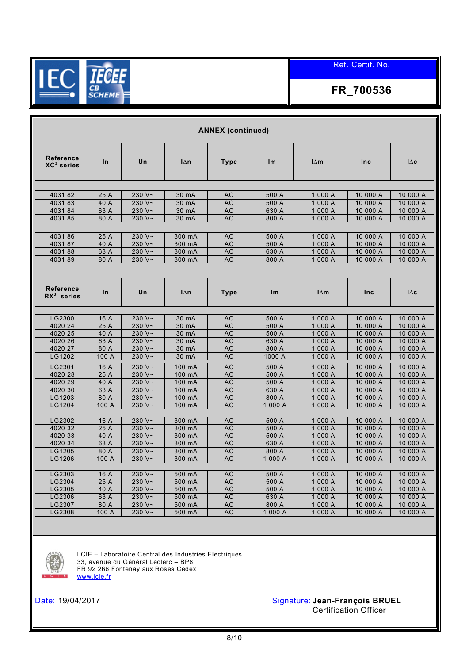

# **FR\_700536**

|                                   |              |              |                              | <b>ANNEX (continued)</b> |                |                              |                      |                              |
|-----------------------------------|--------------|--------------|------------------------------|--------------------------|----------------|------------------------------|----------------------|------------------------------|
| <b>Reference</b><br>$XC^3$ series | In           | Un           | $\mathsf{I}\Delta\mathsf{n}$ | <b>Type</b>              | Im             | $\mathsf{I}\Delta\mathsf{m}$ | Inc                  | $\mathsf{I}\Delta\mathbf{c}$ |
|                                   |              |              |                              |                          |                |                              |                      |                              |
| 403182                            | 25 A         | 230 $V \sim$ | 30 mA                        | <b>AC</b>                | 500 A          | 1 000 A                      | 10 000 A             | 10 000 A                     |
| 403183                            | 40 A         | 230 $V \sim$ | 30 mA                        | <b>AC</b>                | 500 A          | 1 000 A                      | 10 000 A             | 10 000 A                     |
| 403184                            | 63 A         | 230 $V \sim$ | 30 mA                        | <b>AC</b>                | 630 A          | 1 000 A                      | 10 000 A             | 10 000 A                     |
| 403185                            | 80 A         | 230 $V \sim$ | 30 mA                        | <b>AC</b>                | 800 A          | 1 000 A                      | 10 000 A             | 10 000 A                     |
|                                   |              |              |                              |                          |                |                              |                      |                              |
| 403186                            | 25 A         | 230 $V \sim$ | 300 mA                       | <b>AC</b>                | 500 A          | 1 000 A                      | 10 000 A             | 10 000 A                     |
| 403187                            | 40 A         | 230 $V \sim$ | 300 mA                       | <b>AC</b>                | 500 A          | 1 000 A                      | 10 000 A             | 10 000 A                     |
| 403188                            | 63 A         | 230 $V \sim$ | 300 mA                       | <b>AC</b>                | 630 A          | 1 000 A                      | 10 000 A             | 10 000 A                     |
| 403189                            | 80 A         | 230 V~       | 300 mA                       | <b>AC</b>                | 800 A          | 1 000 A                      | 10 000 A             | 10 000 A                     |
|                                   |              |              |                              |                          |                |                              |                      |                              |
| <b>Reference</b><br>$RX3$ series  | $\ln$        | Un           | $1\wedge n$                  | Type                     | Im             | $l \wedge m$                 | <b>Inc</b>           | $I\wedge c$                  |
|                                   |              |              |                              |                          |                |                              |                      |                              |
| LG2300                            | 16 A         | 230 $V \sim$ | 30 mA                        | <b>AC</b>                | 500 A          | 1 000 A                      | 10 000 A             | 10 000 A                     |
| 4020 24                           | 25 A         | 230 $V \sim$ | 30 mA                        | <b>AC</b>                | 500 A          | 1 000 A                      | 10 000 A             | 10 000 A                     |
| 4020 25                           | 40 A         | 230 $V \sim$ | 30 mA                        | AC                       | 500 A          | 1 000 A                      | 10 000 A             | 10 000 A                     |
| 4020 26                           | 63 A         | 230 $V \sim$ | 30 mA                        | <b>AC</b>                | 630 A          | 1 000 A                      | 10 000 A             | 10 000 A                     |
| 4020 27                           | 80 A         | 230 $V \sim$ | 30 mA                        | <b>AC</b>                | 800 A          | 1 000 A                      | 10 000 A             | 10 000 A                     |
| LG1202                            | 100 A        | 230 $V \sim$ | 30 mA                        | <b>AC</b>                | 1000 A         | 1 000 A                      | 10 000 A             | 10 000 A                     |
| LG2301                            | 16 A         | 230 $V \sim$ | 100 mA                       | <b>AC</b>                | 500 A          | 1 000 A                      | 10 000 A             | 10 000 A                     |
| 4020 28                           | 25 A         | 230 $V \sim$ | 100 mA                       | <b>AC</b>                | 500 A          | 1 000 A                      | 10 000 A             | 10 000 A                     |
| 4020 29                           | 40 A         | 230 V~       | 100 mA                       | AC                       | 500 A          | 1 000 A                      | 10 000 A             | 10 000 A                     |
| 4020 30                           | 63 A         | 230 $V \sim$ | 100 mA                       | <b>AC</b>                | 630 A          | 1 000 A                      | 10 000 A             | 10 000 A                     |
| LG1203                            | 80 A         | 230 $V \sim$ | 100 mA                       | <b>AC</b>                | 800 A          | 1 000 A                      | 10 000 A             | 10 000 A                     |
| LG1204                            | 100 A        | 230 $V \sim$ | 100 mA                       | <b>AC</b>                | 1 000 A        | 1 000 A                      | 10 000 A             | 10 000 A                     |
|                                   |              |              |                              |                          |                |                              |                      |                              |
| LG2302                            | 16 A         | 230 $V \sim$ | 300 mA                       | <b>AC</b>                | 500 A          | 1 000 A                      | 10 000 A             | 10 000 A                     |
| 4020 32                           | 25 A         | 230 $V \sim$ | 300 mA                       | <b>AC</b>                | 500 A          | 1 000 A                      | 10 000 A             | 10 000 A                     |
| 4020 33                           | 40 A         | 230 $V \sim$ | 300 mA                       | <b>AC</b>                | 500 A          | 1 000 A                      | 10 000 A             | 10 000 A                     |
| 4020 34                           | 63 A         | 230 $V \sim$ | 300 mA                       | <b>AC</b>                | 630 A          | 1 000 A                      | 10 000 A             | 10 000 A                     |
| LG1205                            | 80 A         | 230 V~       | 300 mA                       | AC                       | 800 A          | 1 000 A                      | 10 000 A             | 10 000 A                     |
| LG1206                            | 100 A        | 230 $V \sim$ | 300 mA                       | AC                       | 1 000 A        | 1 000 A                      | 10 000 A             | 10 000 A                     |
|                                   |              | 230 $V \sim$ |                              |                          |                |                              |                      |                              |
| LG2303<br>LG2304                  | 16 A         | 230 V~       | 500 mA                       | <b>AC</b>                | 500 A          | 1 000 A                      | 10 000 A             | 10 000 A                     |
| LG2305                            | 25 A<br>40 A | 230 $V \sim$ | 500 mA<br>500 mA             | AC<br><b>AC</b>          | 500 A<br>500 A | 1 000 A<br>1 000 A           | 10 000 A<br>10 000 A | 10 000 A<br>10 000 A         |
| LG2306                            | 63 A         | 230 $V \sim$ | 500 mA                       | <b>AC</b>                | 630 A          | 1 000 A                      | 10 000 A             | 10 000 A                     |
| LG2307                            | 80 A         | 230 $V \sim$ | 500 mA                       | <b>AC</b>                | 800 A          | 1 000 A                      | 10 000 A             | 10 000 A                     |
| LG2308                            | 100 A        | 230 V~       | 500 mA                       | <b>AC</b>                | 1 000 A        | 1 000 A                      | 10 000 A             | 10 000 A                     |
|                                   |              |              |                              |                          |                |                              |                      |                              |



LCIE – Laboratoire Central des Industries Electriques 33, avenue du Général Leclerc – BP8 FR 92 266 Fontenay aux Roses Cedex [www.lcie.fr](http://www.lcie.fr/)

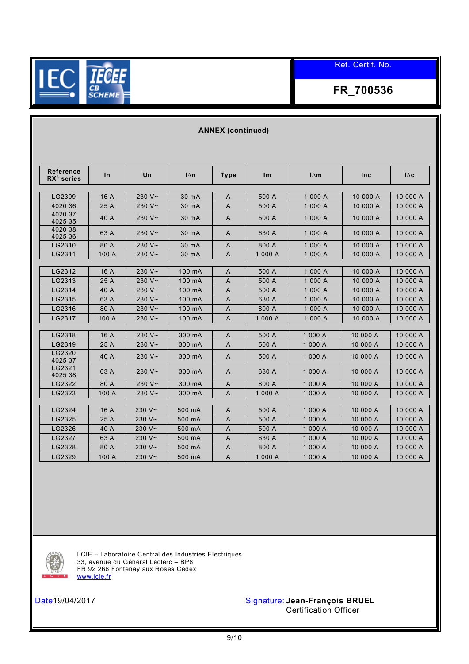

# **FR\_700536**

| <b>Reference</b><br>$RX3$ series | $\ln$ | Un           | $\mathsf{I}\Delta\mathsf{n}$ | <b>Type</b>    | Im      | $\mathsf{I}\Delta\mathsf{m}$ | <b>Inc</b> | $\mathsf{I}\Delta\mathbf{c}$ |
|----------------------------------|-------|--------------|------------------------------|----------------|---------|------------------------------|------------|------------------------------|
|                                  |       |              |                              |                |         |                              |            |                              |
| LG2309                           | 16 A  | $230 V -$    | 30 mA                        | A              | 500 A   | 1 000 A                      | 10 000 A   | 10 000 A                     |
| 4020 36                          | 25 A  | 230 $V \sim$ | 30 mA                        | A              | 500 A   | 1 000 A                      | 10 000 A   | 10 000 A                     |
| 4020 37<br>4025 35               | 40 A  | 230 $V \sim$ | 30 mA                        | A              | 500 A   | 1 000 A                      | 10 000 A   | 10 000 A                     |
| 4020 38<br>4025 36               | 63 A  | $230 V -$    | 30 mA                        | A              | 630 A   | 1 000 A                      | 10 000 A   | 10 000 A                     |
| LG2310                           | 80 A  | $230 V -$    | 30 mA                        | A              | 800 A   | 1 000 A                      | 10 000 A   | 10 000 A                     |
| LG2311                           | 100 A | 230 $V \sim$ | 30 mA                        | A              | 1 000 A | 1 000 A                      | 10 000 A   | 10 000 A                     |
|                                  |       |              |                              |                |         |                              |            |                              |
| LG2312                           | 16 A  | $230 V -$    | 100 mA                       | A              | 500 A   | 1 000 A                      | 10 000 A   | 10 000 A                     |
| LG2313                           | 25 A  | 230 $V \sim$ | 100 mA                       | A              | 500 A   | 1 000 A                      | 10 000 A   | 10 000 A                     |
| LG2314                           | 40 A  | 230 $V \sim$ | 100 mA                       | A              | 500 A   | 1 000 A                      | 10 000 A   | 10 000 A                     |
| LG2315                           | 63 A  | 230 $V \sim$ | 100 mA                       | $\overline{A}$ | 630 A   | 1 000 A                      | 10 000 A   | 10 000 A                     |
| LG2316                           | 80 A  | 230 $V \sim$ | 100 mA                       | A              | 800 A   | 1 000 A                      | 10 000 A   | 10 000 A                     |
| LG2317                           | 100 A | 230 $V \sim$ | 100 mA                       | A              | 1 000 A | 1 000 A                      | 10 000 A   | 10 000 A                     |
| LG2318                           | 16 A  | 230 $V \sim$ | 300 mA                       | A              | 500 A   | 1 000 A                      | 10 000 A   | 10 000 A                     |
| LG2319                           | 25 A  | $230 V -$    | 300 mA                       | A              | 500 A   | 1 000 A                      | 10 000 A   | 10 000 A                     |
| LG2320<br>4025 37                | 40 A  | 230 $V \sim$ | 300 mA                       | A              | 500 A   | 1 000 A                      | 10 000 A   | 10 000 A                     |
| LG2321<br>4025 38                | 63 A  | 230 $V \sim$ | 300 mA                       | A              | 630 A   | 1 000 A                      | 10 000 A   | 10 000 A                     |
| LG2322                           | 80 A  | 230 $V \sim$ | 300 mA                       | A              | 800 A   | 1 000 A                      | 10 000 A   | 10 000 A                     |
| LG2323                           | 100 A | 230 $V \sim$ | 300 mA                       | $\overline{A}$ | 1 000 A | 1 000 A                      | 10 000 A   | 10 000 A                     |
|                                  |       |              |                              |                |         |                              |            |                              |
| LG2324                           | 16 A  | 230 $V \sim$ | 500 mA                       | A              | 500 A   | 1 000 A                      | 10 000 A   | 10 000 A                     |
| LG2325                           | 25 A  | $230 V -$    | 500 mA                       | A              | 500 A   | 1 000 A                      | 10 000 A   | 10 000 A                     |
| LG2326                           | 40 A  | 230 $V \sim$ | 500 mA                       | A              | 500 A   | 1 000 A                      | 10 000 A   | 10 000 A                     |
| LG2327                           | 63 A  | 230 $V \sim$ | 500 mA                       | A              | 630 A   | 1 000 A                      | 10 000 A   | 10 000 A                     |
| LG2328                           | 80 A  | 230 $V \sim$ | 500 mA                       | A              | 800 A   | 1 000 A                      | 10 000 A   | 10 000 A                     |
| LG2329                           | 100 A | $230 V -$    | 500 mA                       | A              | 1 000 A | 1 000 A                      | 10 000 A   | 10 000 A                     |

**ANNEX (continued)**



LCIE – Laboratoire Central des Industries Electriques 33, avenue du Général Leclerc – BP8 FR 92 266 Fontenay aux Roses Cedex [www.lcie.fr](http://www.lcie.fr/)